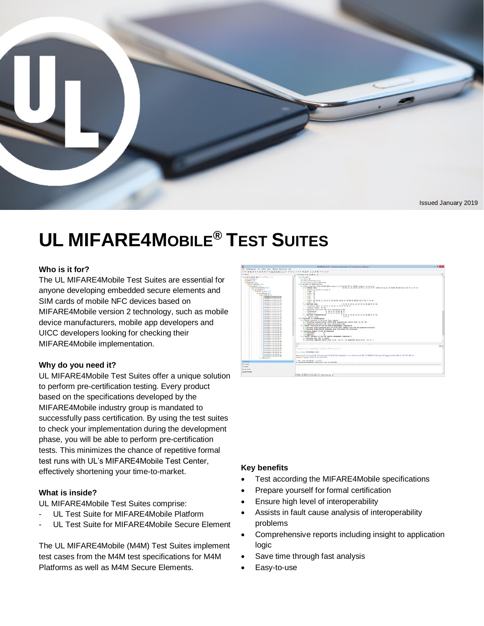

#### Issued January 2019

# **UL MIFARE4MOBILE® TEST SUITES**

### **Who is it for?**

The UL MIFARE4Mobile Test Suites are essential for anyone developing embedded secure elements and SIM cards of mobile NFC devices based on MIFARE4Mobile version 2 technology, such as mobile device manufacturers, mobile app developers and UICC developers looking for checking their MIFARE4Mobile implementation.

### **Why do you need it?**

UL MIFARE4Mobile Test Suites offer a unique solution to perform pre-certification testing. Every product based on the specifications developed by the MIFARE4Mobile industry group is mandated to successfully pass certification. By using the test suites to check your implementation during the development phase, you will be able to perform pre-certification tests. This minimizes the chance of repetitive formal test runs with UL's MIFARE4Mobile Test Center, effectively shortening your time-to-market.

### **What is inside?**

UL MIFARE4Mobile Test Suites comprise:

- UL Test Suite for MIFARE4Mobile Platform
- UL Test Suite for MIFARE4Mobile Secure Element

The UL MIFARE4Mobile (M4M) Test Suites implement test cases from the M4M test specifications for M4M Platforms as well as M4M Secure Elements.



#### **Key benefits**

- Test according the MIFARE4Mobile specifications
- Prepare yourself for formal certification
- Ensure high level of interoperability
- Assists in fault cause analysis of interoperability problems
- Comprehensive reports including insight to application logic
- Save time through fast analysis
- Easy-to-use